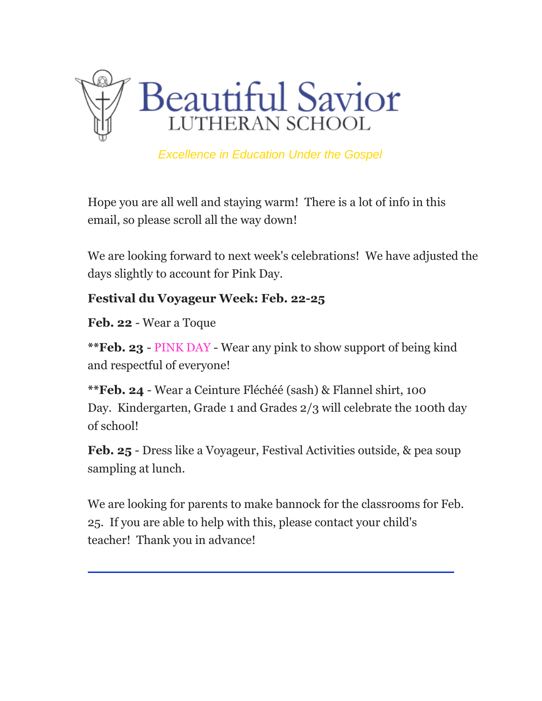

*Excellence in Education Under the Gospel*

Hope you are all well and staying warm! There is a lot of info in this email, so please scroll all the way down!

We are looking forward to next week's celebrations! We have adjusted the days slightly to account for Pink Day.

## **Festival du Voyageur Week: Feb. 22-25**

**Feb. 22** - Wear a Toque

**\*\*Feb. 23** - PINK DAY - Wear any pink to show support of being kind and respectful of everyone!

**\*\*Feb. 24** - Wear a Ceinture Fléchéé (sash) & Flannel shirt, 100 Day. Kindergarten, Grade 1 and Grades 2/3 will celebrate the 100th day of school!

**Feb. 25** - Dress like a Voyageur, Festival Activities outside, & pea soup sampling at lunch.

We are looking for parents to make bannock for the classrooms for Feb. 25. If you are able to help with this, please contact your child's teacher! Thank you in advance!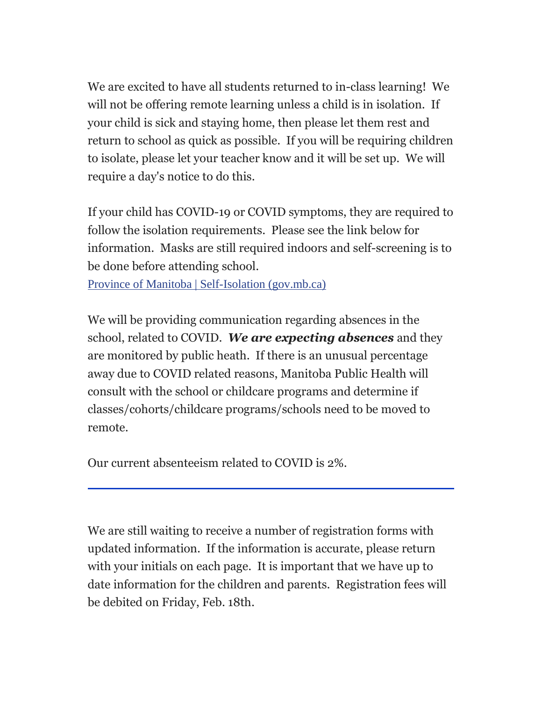We are excited to have all students returned to in-class learning! We will not be offering remote learning unless a child is in isolation. If your child is sick and staying home, then please let them rest and return to school as quick as possible. If you will be requiring children to isolate, please let your teacher know and it will be set up. We will require a day's notice to do this.

If your child has COVID-19 or COVID symptoms, they are required to follow the isolation requirements. Please see the link below for information. Masks are still required indoors and self-screening is to be done before attending school.

Province of Manitoba | [Self-Isolation](https://bsls.us9.list-manage.com/track/click?u=425d9558416800a33a8e6b312&id=13e7995e8b&e=0233fae3e8) (gov.mb.ca)

We will be providing communication regarding absences in the school, related to COVID. *We are expecting absences* and they are monitored by public heath. If there is an unusual percentage away due to COVID related reasons, Manitoba Public Health will consult with the school or childcare programs and determine if classes/cohorts/childcare programs/schools need to be moved to remote.

Our current absenteeism related to COVID is 2%.

We are still waiting to receive a number of registration forms with updated information. If the information is accurate, please return with your initials on each page. It is important that we have up to date information for the children and parents. Registration fees will be debited on Friday, Feb. 18th.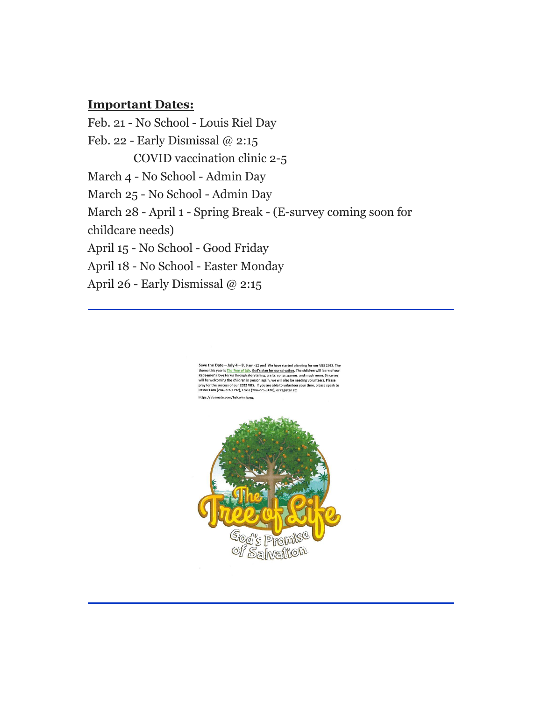#### **Important Dates:**

Feb. 21 - No School - Louis Riel Day Feb. 22 - Early Dismissal @ 2:15 COVID vaccination clinic 2-5 March 4 - No School - Admin Day March 25 - No School - Admin Day March 28 - April 1 - Spring Break - (E-survey coming soon for childcare needs) April 15 - No School - Good Friday April 18 - No School - Easter Monday April 26 - Early Dismissal @ 2:15

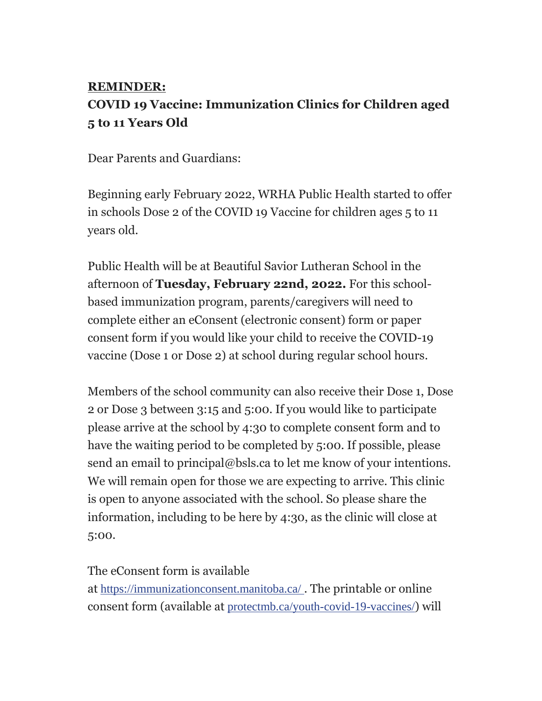# **REMINDER: COVID 19 Vaccine: Immunization Clinics for Children aged 5 to 11 Years Old**

Dear Parents and Guardians:

Beginning early February 2022, WRHA Public Health started to offer in schools Dose 2 of the COVID 19 Vaccine for children ages 5 to 11 years old.

Public Health will be at Beautiful Savior Lutheran School in the afternoon of **Tuesday, February 22nd, 2022.** For this schoolbased immunization program, parents/caregivers will need to complete either an eConsent (electronic consent) form or paper consent form if you would like your child to receive the COVID-19 vaccine (Dose 1 or Dose 2) at school during regular school hours.

Members of the school community can also receive their Dose 1, Dose 2 or Dose 3 between 3:15 and 5:00. If you would like to participate please arrive at the school by 4:30 to complete consent form and to have the waiting period to be completed by 5:00. If possible, please send an email to principal@bsls.ca to let me know of your intentions. We will remain open for those we are expecting to arrive. This clinic is open to anyone associated with the school. So please share the information, including to be here by 4:30, as the clinic will close at 5:00.

## The eConsent form is available

at [https://immunizationconsent.manitoba.ca/](https://bsls.us9.list-manage.com/track/click?u=425d9558416800a33a8e6b312&id=a61fc03c2f&e=0233fae3e8) . The printable or online consent form (available at [protectmb.ca/youth-covid-19-vaccines/](https://bsls.us9.list-manage.com/track/click?u=425d9558416800a33a8e6b312&id=055c5ffac2&e=0233fae3e8)) will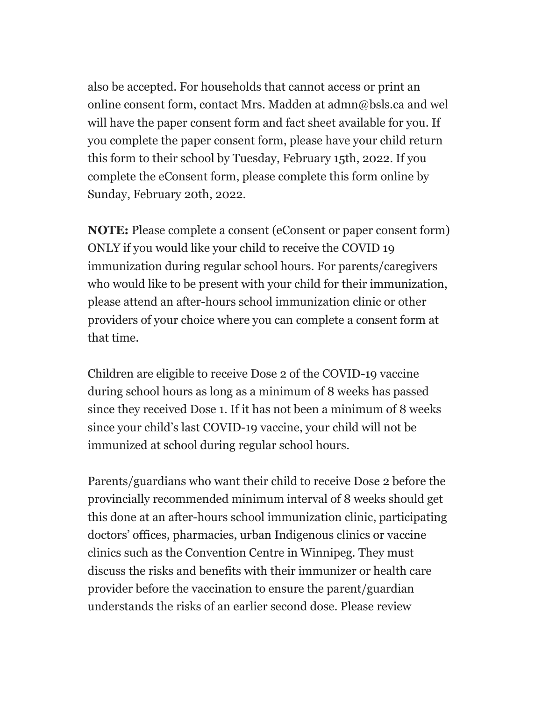also be accepted. For households that cannot access or print an online consent form, contact Mrs. Madden at admn@bsls.ca and wel will have the paper consent form and fact sheet available for you. If you complete the paper consent form, please have your child return this form to their school by Tuesday, February 15th, 2022. If you complete the eConsent form, please complete this form online by Sunday, February 20th, 2022.

**NOTE:** Please complete a consent (eConsent or paper consent form) ONLY if you would like your child to receive the COVID 19 immunization during regular school hours. For parents/caregivers who would like to be present with your child for their immunization, please attend an after-hours school immunization clinic or other providers of your choice where you can complete a consent form at that time.

Children are eligible to receive Dose 2 of the COVID-19 vaccine during school hours as long as a minimum of 8 weeks has passed since they received Dose 1. If it has not been a minimum of 8 weeks since your child's last COVID-19 vaccine, your child will not be immunized at school during regular school hours.

Parents/guardians who want their child to receive Dose 2 before the provincially recommended minimum interval of 8 weeks should get this done at an after-hours school immunization clinic, participating doctors' offices, pharmacies, urban Indigenous clinics or vaccine clinics such as the Convention Centre in Winnipeg. They must discuss the risks and benefits with their immunizer or health care provider before the vaccination to ensure the parent/guardian understands the risks of an earlier second dose. Please review